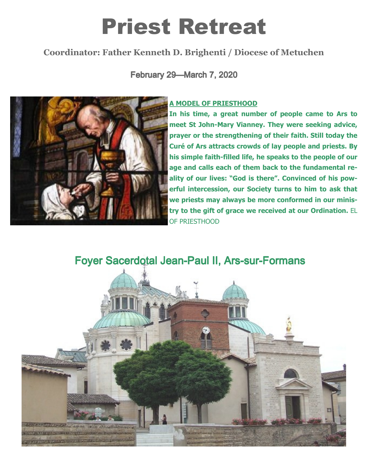# Priest Retreat

# Coordinator: Father Kenneth D. Brighenti / Diocese of Metuchen

February 29-March 7, 2020



### A MODEL OF PRIESTHOOD

In his time, a great number of people came to Ars to meet St John-Mary Vianney. They were seeking advice, prayer or the strengthening of their faith. Still today the Curé of Ars attracts crowds of lay people and priests. By his simple faith-filled life, he speaks to the people of our age and calls each of them back to the fundamental reality of our lives: "God is there". Convinced of his powerful intercession, our Society turns to him to ask that we priests may always be more conformed in our ministry to the gift of grace we received at our Ordination. EL OF PRIESTHOOD

# Foyer Sacerdotal Jean-Paul II, Ars-sur-Formans

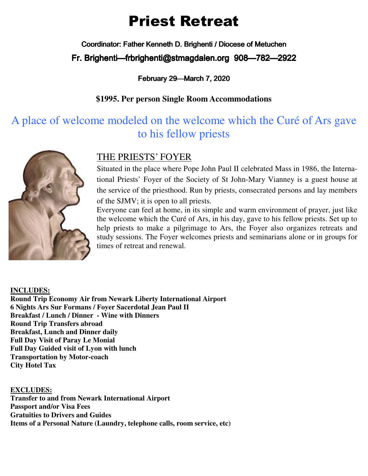# Priest Retreat

Coordinator: Father Kenneth D. Brighenti / Diocese of Metuchen

Fr. Brighenti—frbrighenti@stmagdalen.org 908—782—2922

## February 29—March 7, 2020

# **\$1995. Per person Single Room Accommodations**

# A place of welcome modeled on the welcome which the Curé of Ars gave to his fellow priests



# THE PRIESTS' FOYER

Situated in the place where Pope John Paul II celebrated Mass in 1986, the International Priests' Foyer of the Society of St John-Mary Vianney is a guest house at the service of the priesthood. Run by priests, consecrated persons and lay members of the SJMV; it is open to all priests.

Everyone can feel at home, in its simple and warm environment of prayer, just like the welcome which the Curé of Ars, in his day, gave to his fellow priests. Set up to help priests to make a pilgrimage to Ars, the Foyer also organizes retreats and study sessions. The Foyer welcomes priests and seminarians alone or in groups for times of retreat and renewal.

#### **INCLUDES:**

**Round Trip Economy Air from Newark Liberty International Airport 6 Nights Ars Sur Formans / Foyer Sacerdotal Jean Paul II Breakfast / Lunch / Dinner - Wine with Dinners Round Trip Transfers abroad Breakfast, Lunch and Dinner daily Full Day Visit of Paray Le Monial Full Day Guided visit of Lyon with lunch Transportation by Motor-coach City Hotel Tax** 

#### **EXCLUDES:**

**Transfer to and from Newark International Airport Passport and/or Visa Fees Gratuities to Drivers and Guides Items of a Personal Nature (Laundry, telephone calls, room service, etc)**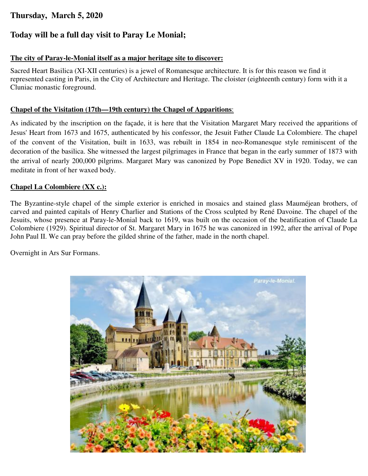# **Thursday, March 5, 2020**

## **Today will be a full day visit to Paray Le Monial;**

#### **The city of Paray-le-Monial itself as a major heritage site to discover:**

Sacred Heart Basilica (XI-XII centuries) is a jewel of Romanesque architecture. It is for this reason we find it represented casting in Paris, in the City of Architecture and Heritage. The cloister (eighteenth century) form with it a Cluniac monastic foreground.

#### **Chapel of the Visitation (17th—19th century) the Chapel of Apparitions**:

As indicated by the inscription on the façade, it is here that the Visitation Margaret Mary received the apparitions of Jesus' Heart from 1673 and 1675, authenticated by his confessor, the Jesuit Father Claude La Colombiere. The chapel of the convent of the Visitation, built in 1633, was rebuilt in 1854 in neo-Romanesque style reminiscent of the decoration of the basilica. She witnessed the largest pilgrimages in France that began in the early summer of 1873 with the arrival of nearly 200,000 pilgrims. Margaret Mary was canonized by Pope Benedict XV in 1920. Today, we can meditate in front of her waxed body.

#### **Chapel La Colombiere (XX c.):**

The Byzantine-style chapel of the simple exterior is enriched in mosaics and stained glass Mauméjean brothers, of carved and painted capitals of Henry Charlier and Stations of the Cross sculpted by René Davoine. The chapel of the Jesuits, whose presence at Paray-le-Monial back to 1619, was built on the occasion of the beatification of Claude La Colombiere (1929). Spiritual director of St. Margaret Mary in 1675 he was canonized in 1992, after the arrival of Pope John Paul II. We can pray before the gilded shrine of the father, made in the north chapel.

Overnight in Ars Sur Formans.

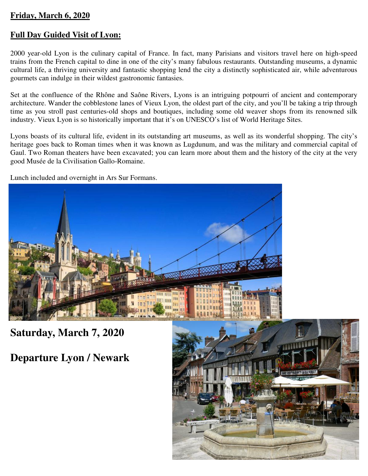#### **Friday, March 6, 2020**

## **Full Day Guided Visit of Lyon:**

2000 year-old Lyon is the culinary capital of France. In fact, many Parisians and visitors travel here on high-speed trains from the French capital to dine in one of the city's many fabulous restaurants. Outstanding museums, a dynamic cultural life, a thriving university and fantastic shopping lend the city a distinctly sophisticated air, while adventurous gourmets can indulge in their wildest gastronomic fantasies.

Set at the confluence of the Rhône and Saône Rivers, Lyons is an intriguing potpourri of ancient and contemporary architecture. Wander the cobblestone lanes of Vieux Lyon, the oldest part of the city, and you'll be taking a trip through time as you stroll past centuries-old shops and boutiques, including some old weaver shops from its renowned silk industry. Vieux Lyon is so historically important that it's on UNESCO's list of World Heritage Sites.

Lyons boasts of its cultural life, evident in its outstanding art museums, as well as its wonderful shopping. The city's heritage goes back to Roman times when it was known as Lugdunum, and was the military and commercial capital of Gaul. Two Roman theaters have been excavated; you can learn more about them and the history of the city at the very good Musée de la Civilisation Gallo-Romaine.

Lunch included and overnight in Ars Sur Formans.



**Saturday, March 7, 2020** 

**Departure Lyon / Newark** 

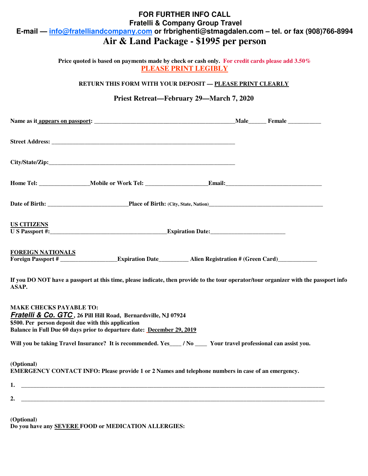## **FOR FURTHER INFO CALL Fratelli & Company Group Travel E-mail — info@fratelliandcompany.com or frbrighenti@stmagdalen.com – tel. or fax (908)766-8994 Air & Land Package - \$1995 per person**

**Price quoted is based on payments made by check or cash only. For credit cards please add 3.50% PLEASE PRINT LEGIBLY** 

**RETURN THIS FORM WITH YOUR DEPOSIT — PLEASE PRINT CLEARLY**

#### **Priest Retreat—February 29—March 7, 2020**

| <b>US CITIZENS</b>       |                                                                                                              |  |
|--------------------------|--------------------------------------------------------------------------------------------------------------|--|
| <b>FOREIGN NATIONALS</b> | Foreign Passport #<br>Expiration Date<br>Expiration Date<br>Alien Registration # (Green Card)<br>Letter Card |  |

**If you DO NOT have a passport at this time, please indicate, then provide to the tour operator/tour organizer with the passport info ASAP.**

**MAKE CHECKS PAYABLE TO: Fratelli & Co. GTC , 26 Pill Hill Road, Bernardsville, NJ 07924 \$500. Per person deposit due with this application Balance in Full Due 60 days prior to departure date: December 29, 2019**

Will you be taking Travel Insurance? It is recommended. Yes\_\_\_\_ / No \_\_\_\_\_ Your travel professional can assist you.

**(Optional) EMERGENCY CONTACT INFO: Please provide 1 or 2 Names and telephone numbers in case of an emergency.** 

| . .          |  |
|--------------|--|
| $\sim$<br>∸. |  |

**(Optional) Do you have any SEVERE FOOD or MEDICATION ALLERGIES:**